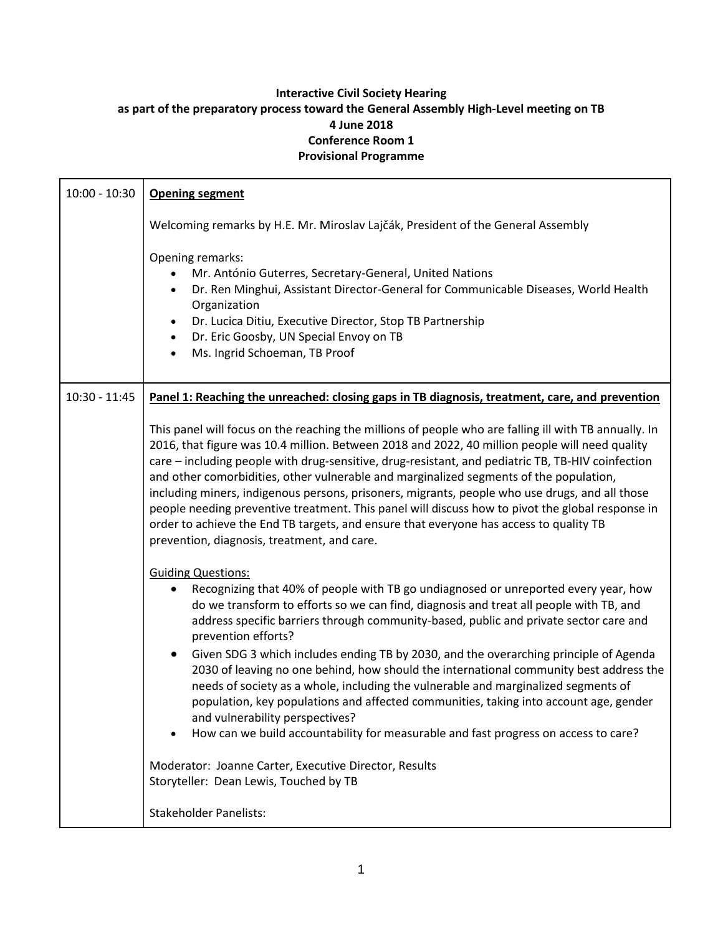## **Interactive Civil Society Hearing as part of the preparatory process toward the General Assembly High-Level meeting on TB 4 June 2018 Conference Room 1 Provisional Programme**

| $10:00 - 10:30$ | <b>Opening segment</b>                                                                                                                                                                                                                                                                                                                                                                                                                                                                                                                                                                                                                                                                                                                                                                                                                                                                                                    |
|-----------------|---------------------------------------------------------------------------------------------------------------------------------------------------------------------------------------------------------------------------------------------------------------------------------------------------------------------------------------------------------------------------------------------------------------------------------------------------------------------------------------------------------------------------------------------------------------------------------------------------------------------------------------------------------------------------------------------------------------------------------------------------------------------------------------------------------------------------------------------------------------------------------------------------------------------------|
|                 | Welcoming remarks by H.E. Mr. Miroslav Lajčák, President of the General Assembly                                                                                                                                                                                                                                                                                                                                                                                                                                                                                                                                                                                                                                                                                                                                                                                                                                          |
|                 | Opening remarks:<br>Mr. António Guterres, Secretary-General, United Nations<br>Dr. Ren Minghui, Assistant Director-General for Communicable Diseases, World Health<br>Organization<br>Dr. Lucica Ditiu, Executive Director, Stop TB Partnership<br>$\bullet$<br>Dr. Eric Goosby, UN Special Envoy on TB<br>$\bullet$<br>Ms. Ingrid Schoeman, TB Proof<br>$\bullet$                                                                                                                                                                                                                                                                                                                                                                                                                                                                                                                                                        |
| $10:30 - 11:45$ | Panel 1: Reaching the unreached: closing gaps in TB diagnosis, treatment, care, and prevention                                                                                                                                                                                                                                                                                                                                                                                                                                                                                                                                                                                                                                                                                                                                                                                                                            |
|                 | This panel will focus on the reaching the millions of people who are falling ill with TB annually. In<br>2016, that figure was 10.4 million. Between 2018 and 2022, 40 million people will need quality<br>care - including people with drug-sensitive, drug-resistant, and pediatric TB, TB-HIV coinfection<br>and other comorbidities, other vulnerable and marginalized segments of the population,<br>including miners, indigenous persons, prisoners, migrants, people who use drugs, and all those<br>people needing preventive treatment. This panel will discuss how to pivot the global response in<br>order to achieve the End TB targets, and ensure that everyone has access to quality TB<br>prevention, diagnosis, treatment, and care.                                                                                                                                                                     |
|                 | <b>Guiding Questions:</b><br>Recognizing that 40% of people with TB go undiagnosed or unreported every year, how<br>do we transform to efforts so we can find, diagnosis and treat all people with TB, and<br>address specific barriers through community-based, public and private sector care and<br>prevention efforts?<br>Given SDG 3 which includes ending TB by 2030, and the overarching principle of Agenda<br>2030 of leaving no one behind, how should the international community best address the<br>needs of society as a whole, including the vulnerable and marginalized segments of<br>population, key populations and affected communities, taking into account age, gender<br>and vulnerability perspectives?<br>How can we build accountability for measurable and fast progress on access to care?<br>Moderator: Joanne Carter, Executive Director, Results<br>Storyteller: Dean Lewis, Touched by TB |
|                 | <b>Stakeholder Panelists:</b>                                                                                                                                                                                                                                                                                                                                                                                                                                                                                                                                                                                                                                                                                                                                                                                                                                                                                             |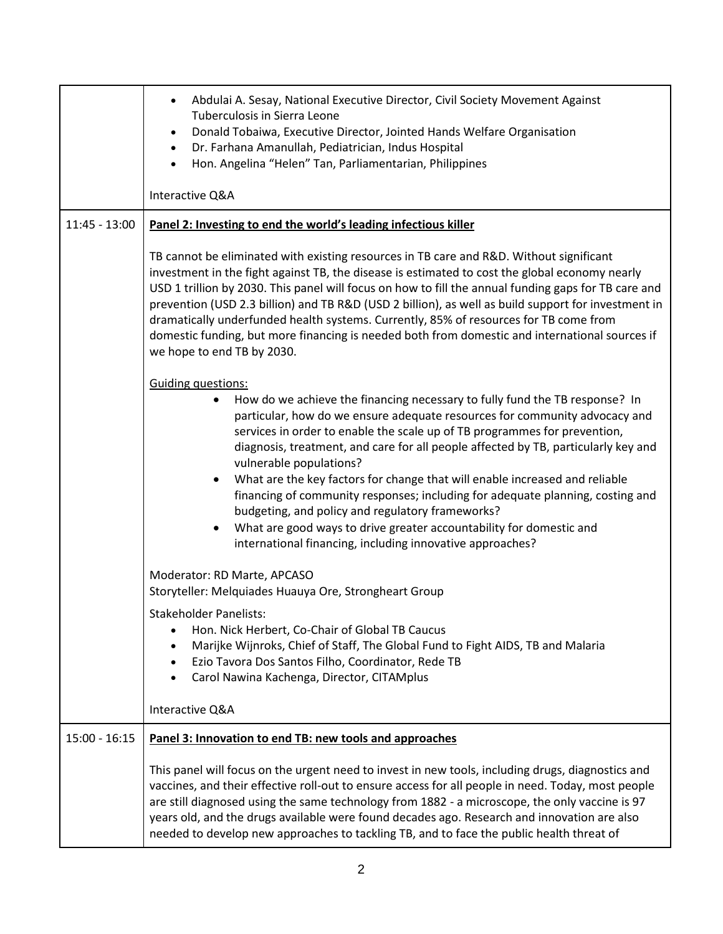|                 | Abdulai A. Sesay, National Executive Director, Civil Society Movement Against<br>Tuberculosis in Sierra Leone<br>Donald Tobaiwa, Executive Director, Jointed Hands Welfare Organisation<br>Dr. Farhana Amanullah, Pediatrician, Indus Hospital<br>$\bullet$<br>Hon. Angelina "Helen" Tan, Parliamentarian, Philippines<br>Interactive Q&A                                                                                                                                                                                                                                                                                                                                                                                                          |
|-----------------|----------------------------------------------------------------------------------------------------------------------------------------------------------------------------------------------------------------------------------------------------------------------------------------------------------------------------------------------------------------------------------------------------------------------------------------------------------------------------------------------------------------------------------------------------------------------------------------------------------------------------------------------------------------------------------------------------------------------------------------------------|
| $11:45 - 13:00$ | Panel 2: Investing to end the world's leading infectious killer                                                                                                                                                                                                                                                                                                                                                                                                                                                                                                                                                                                                                                                                                    |
|                 | TB cannot be eliminated with existing resources in TB care and R&D. Without significant<br>investment in the fight against TB, the disease is estimated to cost the global economy nearly<br>USD 1 trillion by 2030. This panel will focus on how to fill the annual funding gaps for TB care and<br>prevention (USD 2.3 billion) and TB R&D (USD 2 billion), as well as build support for investment in<br>dramatically underfunded health systems. Currently, 85% of resources for TB come from<br>domestic funding, but more financing is needed both from domestic and international sources if<br>we hope to end TB by 2030.                                                                                                                  |
|                 | <b>Guiding questions:</b><br>How do we achieve the financing necessary to fully fund the TB response? In<br>٠<br>particular, how do we ensure adequate resources for community advocacy and<br>services in order to enable the scale up of TB programmes for prevention,<br>diagnosis, treatment, and care for all people affected by TB, particularly key and<br>vulnerable populations?<br>What are the key factors for change that will enable increased and reliable<br>financing of community responses; including for adequate planning, costing and<br>budgeting, and policy and regulatory frameworks?<br>What are good ways to drive greater accountability for domestic and<br>international financing, including innovative approaches? |
|                 | Moderator: RD Marte, APCASO<br>Storyteller: Melquiades Huauya Ore, Strongheart Group                                                                                                                                                                                                                                                                                                                                                                                                                                                                                                                                                                                                                                                               |
|                 | <b>Stakeholder Panelists:</b><br>Hon. Nick Herbert, Co-Chair of Global TB Caucus<br>Marijke Wijnroks, Chief of Staff, The Global Fund to Fight AIDS, TB and Malaria<br>Ezio Tavora Dos Santos Filho, Coordinator, Rede TB<br>$\bullet$<br>Carol Nawina Kachenga, Director, CITAMplus                                                                                                                                                                                                                                                                                                                                                                                                                                                               |
|                 | Interactive Q&A                                                                                                                                                                                                                                                                                                                                                                                                                                                                                                                                                                                                                                                                                                                                    |
| $15:00 - 16:15$ | Panel 3: Innovation to end TB: new tools and approaches                                                                                                                                                                                                                                                                                                                                                                                                                                                                                                                                                                                                                                                                                            |
|                 | This panel will focus on the urgent need to invest in new tools, including drugs, diagnostics and<br>vaccines, and their effective roll-out to ensure access for all people in need. Today, most people<br>are still diagnosed using the same technology from 1882 - a microscope, the only vaccine is 97<br>years old, and the drugs available were found decades ago. Research and innovation are also<br>needed to develop new approaches to tackling TB, and to face the public health threat of                                                                                                                                                                                                                                               |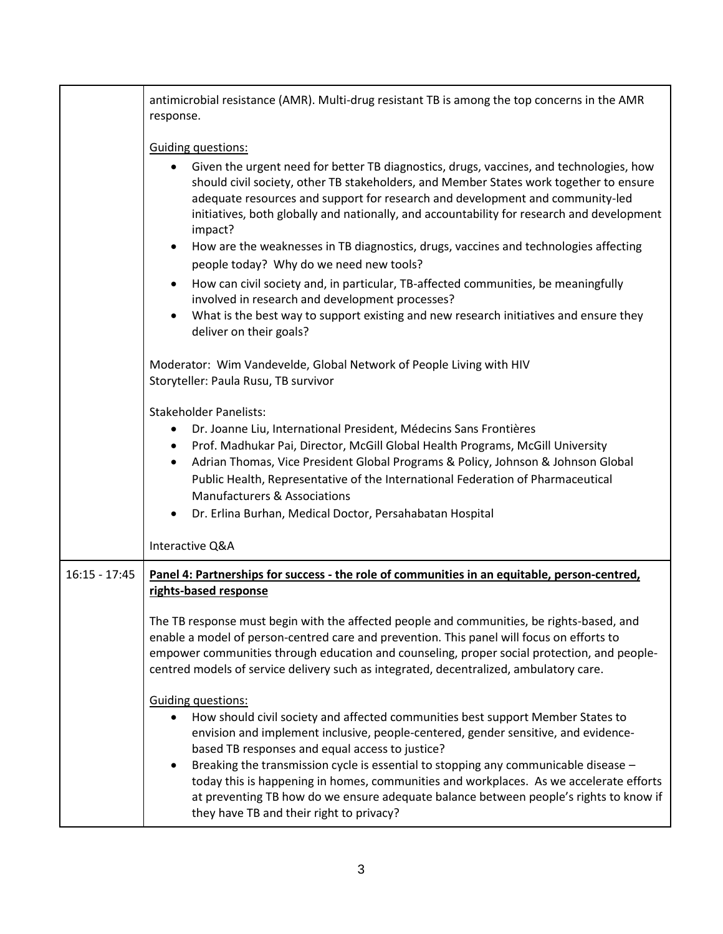|                 | antimicrobial resistance (AMR). Multi-drug resistant TB is among the top concerns in the AMR<br>response.                                                                                                                                                                                                                                                                                                                                                                                                                                                                                |
|-----------------|------------------------------------------------------------------------------------------------------------------------------------------------------------------------------------------------------------------------------------------------------------------------------------------------------------------------------------------------------------------------------------------------------------------------------------------------------------------------------------------------------------------------------------------------------------------------------------------|
|                 | <b>Guiding questions:</b><br>Given the urgent need for better TB diagnostics, drugs, vaccines, and technologies, how<br>$\bullet$<br>should civil society, other TB stakeholders, and Member States work together to ensure<br>adequate resources and support for research and development and community-led<br>initiatives, both globally and nationally, and accountability for research and development                                                                                                                                                                               |
|                 | impact?<br>How are the weaknesses in TB diagnostics, drugs, vaccines and technologies affecting<br>$\bullet$<br>people today? Why do we need new tools?                                                                                                                                                                                                                                                                                                                                                                                                                                  |
|                 | How can civil society and, in particular, TB-affected communities, be meaningfully<br>$\bullet$<br>involved in research and development processes?<br>What is the best way to support existing and new research initiatives and ensure they                                                                                                                                                                                                                                                                                                                                              |
|                 | deliver on their goals?                                                                                                                                                                                                                                                                                                                                                                                                                                                                                                                                                                  |
|                 | Moderator: Wim Vandevelde, Global Network of People Living with HIV<br>Storyteller: Paula Rusu, TB survivor                                                                                                                                                                                                                                                                                                                                                                                                                                                                              |
|                 | <b>Stakeholder Panelists:</b><br>Dr. Joanne Liu, International President, Médecins Sans Frontières<br>Prof. Madhukar Pai, Director, McGill Global Health Programs, McGill University<br>$\bullet$<br>Adrian Thomas, Vice President Global Programs & Policy, Johnson & Johnson Global<br>$\bullet$<br>Public Health, Representative of the International Federation of Pharmaceutical<br><b>Manufacturers &amp; Associations</b><br>Dr. Erlina Burhan, Medical Doctor, Persahabatan Hospital                                                                                             |
|                 | Interactive Q&A                                                                                                                                                                                                                                                                                                                                                                                                                                                                                                                                                                          |
| $16:15 - 17:45$ | Panel 4: Partnerships for success - the role of communities in an equitable, person-centred,<br>rights-based response                                                                                                                                                                                                                                                                                                                                                                                                                                                                    |
|                 | The TB response must begin with the affected people and communities, be rights-based, and<br>enable a model of person-centred care and prevention. This panel will focus on efforts to<br>empower communities through education and counseling, proper social protection, and people-<br>centred models of service delivery such as integrated, decentralized, ambulatory care.                                                                                                                                                                                                          |
|                 | <b>Guiding questions:</b><br>How should civil society and affected communities best support Member States to<br>envision and implement inclusive, people-centered, gender sensitive, and evidence-<br>based TB responses and equal access to justice?<br>Breaking the transmission cycle is essential to stopping any communicable disease -<br>$\bullet$<br>today this is happening in homes, communities and workplaces. As we accelerate efforts<br>at preventing TB how do we ensure adequate balance between people's rights to know if<br>they have TB and their right to privacy? |